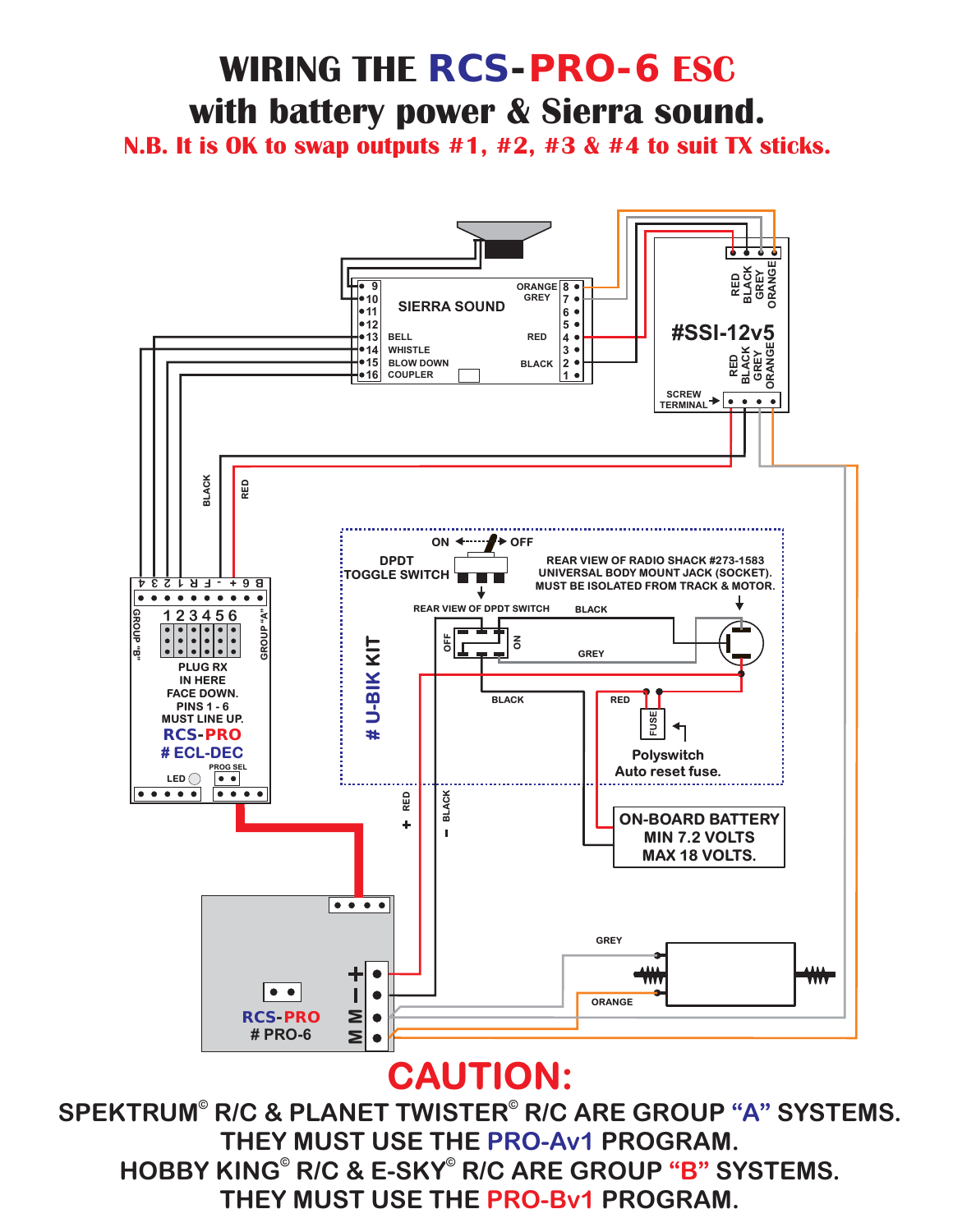#### HOBBY KING<sup>®</sup> R/C & E-SKY<sup>®</sup> R/C ARE GROUP "B" SYSTEMS. **THEY MUST USE THE PRO-Bv1 PROGRAM.** SPEKTRUM® R/C & PLANET TWISTER® R/C ARE GROUP "A" SYSTEMS. **THEY MUST USE THE PRO-Av1 PROGRAM.**

# **CAUTION:**



### **WIRING THE** *RCS-PRO-6* **ESC with battery power & Sierra sound.**

**N.B. It is OK to swap outputs #1, #2, #3 & #4 to suit TX sticks.**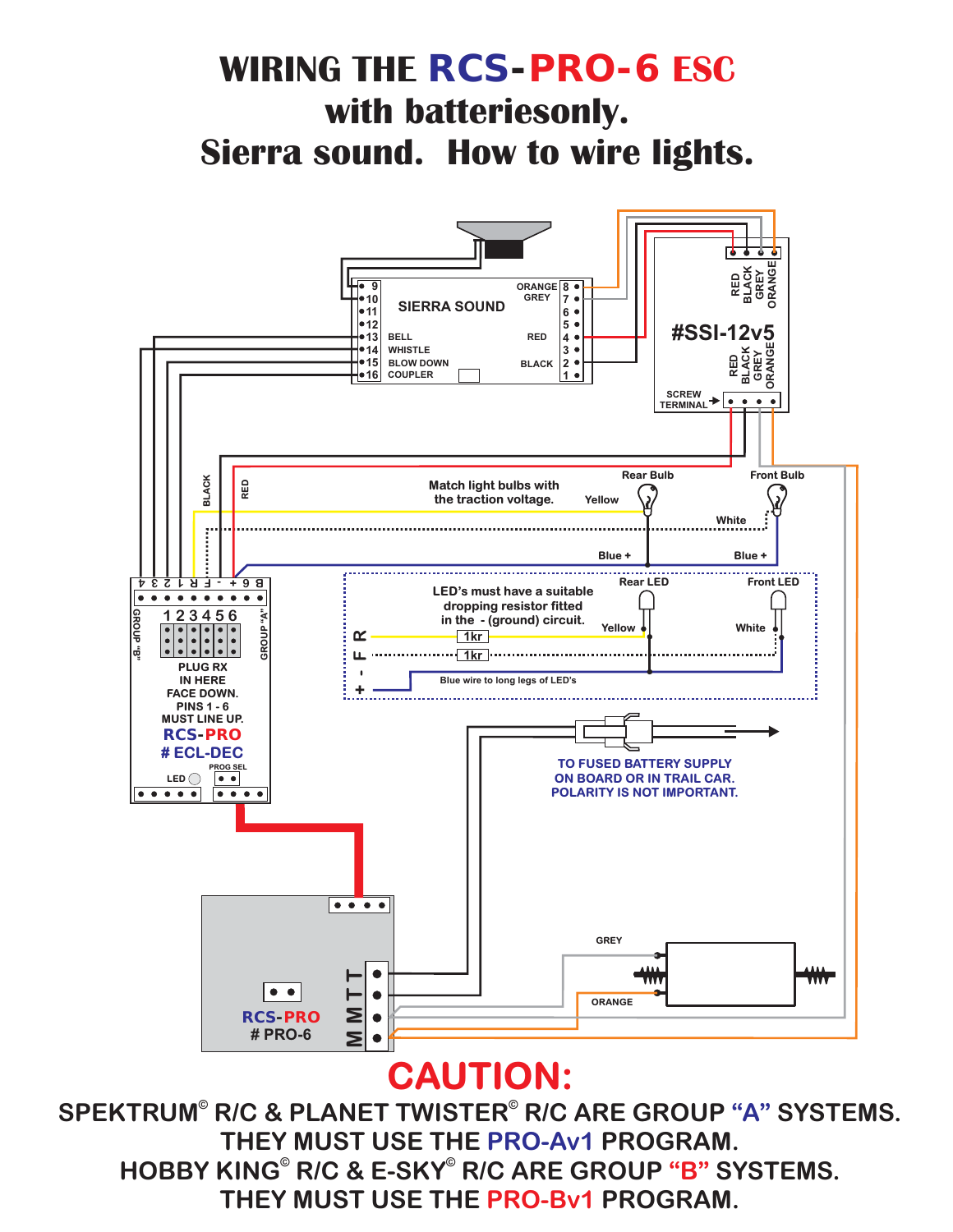HOBBY KING<sup>®</sup> R/C & E-SKY<sup>®</sup> R/C ARE GROUP "B" SYSTEMS. **THEY MUST USE THE PRO-Bv1 PROGRAM.** SPEKTRUM® R/C & PLANET TWISTER® R/C ARE GROUP "A" SYSTEMS. **THEY MUST USE THE PRO-Av1 PROGRAM.** 

# **CAUTION:**



**WIRING THE** *RCS-PRO-6* **ESC**

**with batteriesonly.**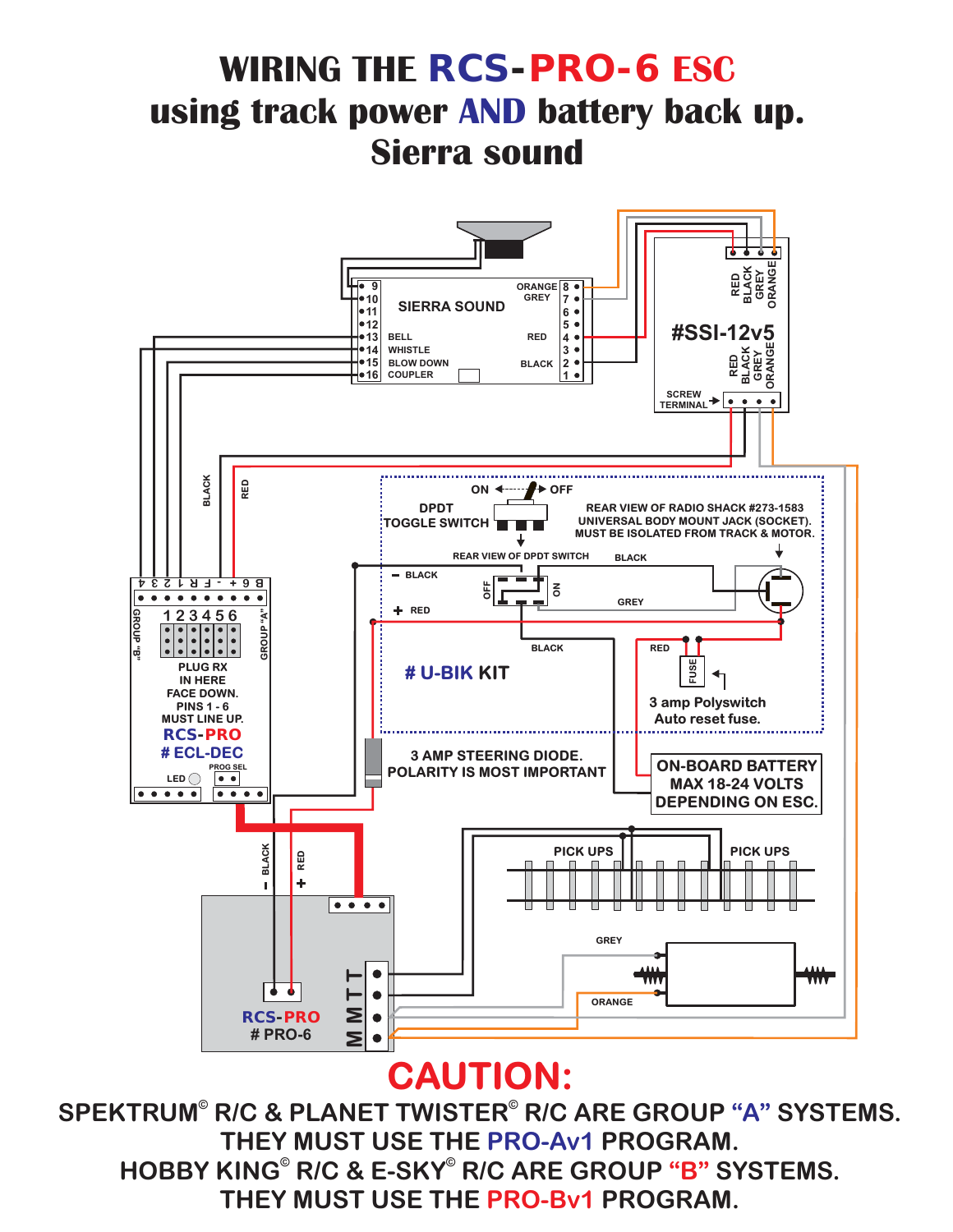# **using track power AND battery back up. Sierra sound**

**WIRING THE** *RCS-PRO-6* **ESC**



### **CAUTION:**

HOBBY KING<sup>®</sup> R/C & E-SKY<sup>®</sup> R/C ARE GROUP "B" SYSTEMS. **THEY MUST USE THE PRO-Bv1 PROGRAM.** SPEKTRUM® R/C & PLANET TWISTER® R/C ARE GROUP "A" SYSTEMS. **THEY MUST USE THE PRO-Av1 PROGRAM.**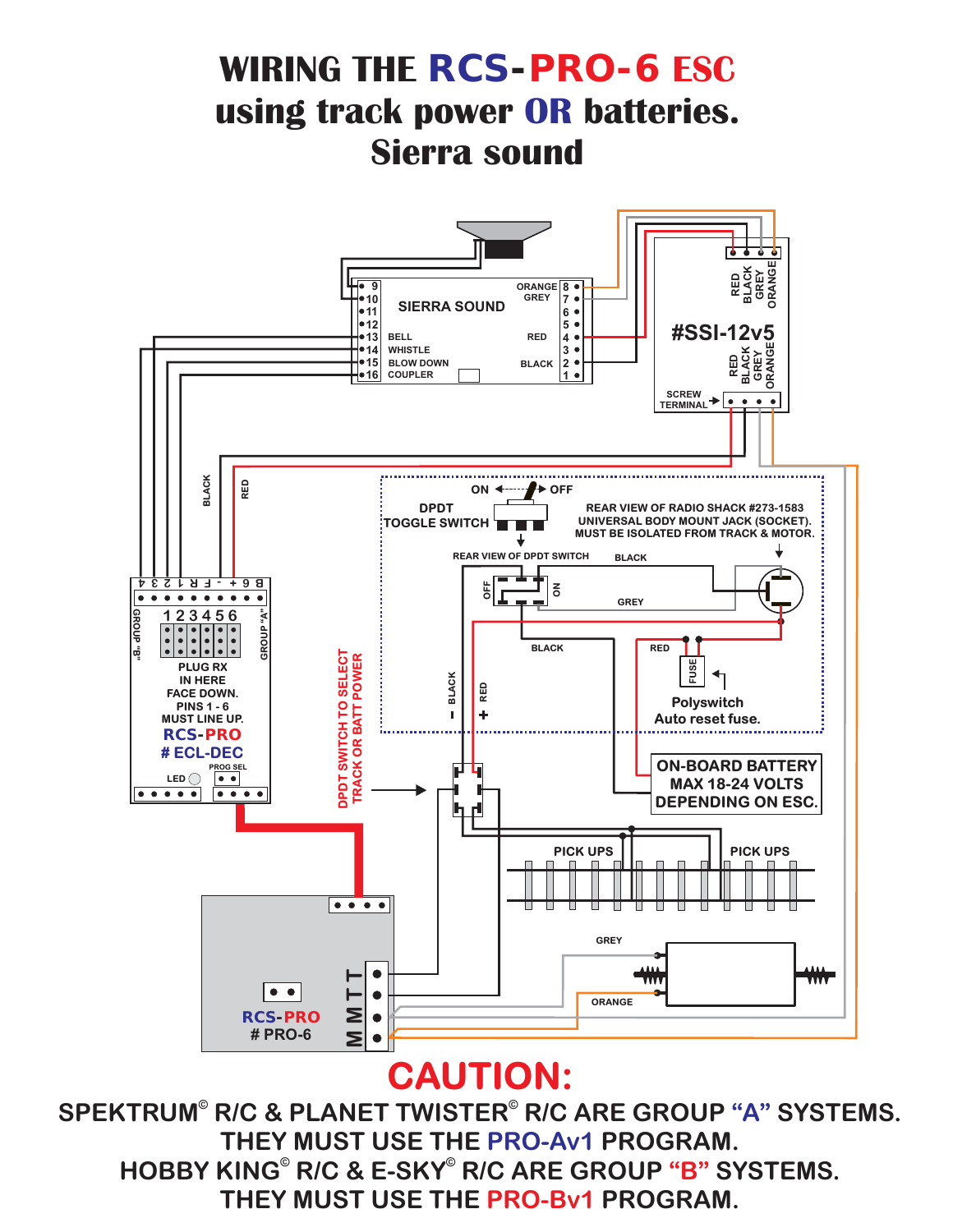HOBBY KING<sup>®</sup> R/C & E-SKY<sup>®</sup> R/C ARE GROUP "B" SYSTEMS. **THEY MUST USE THE PRO-Bv1 PROGRAM.** SPEKTRUM® R/C & PLANET TWISTER® R/C ARE GROUP "A" SYSTEMS. **THEY MUST USE THE PRO-Av1 PROGRAM.** 



### **WIRING THE** *RCS-PRO-6* **ESC using track power OR batteries. Sierra sound**